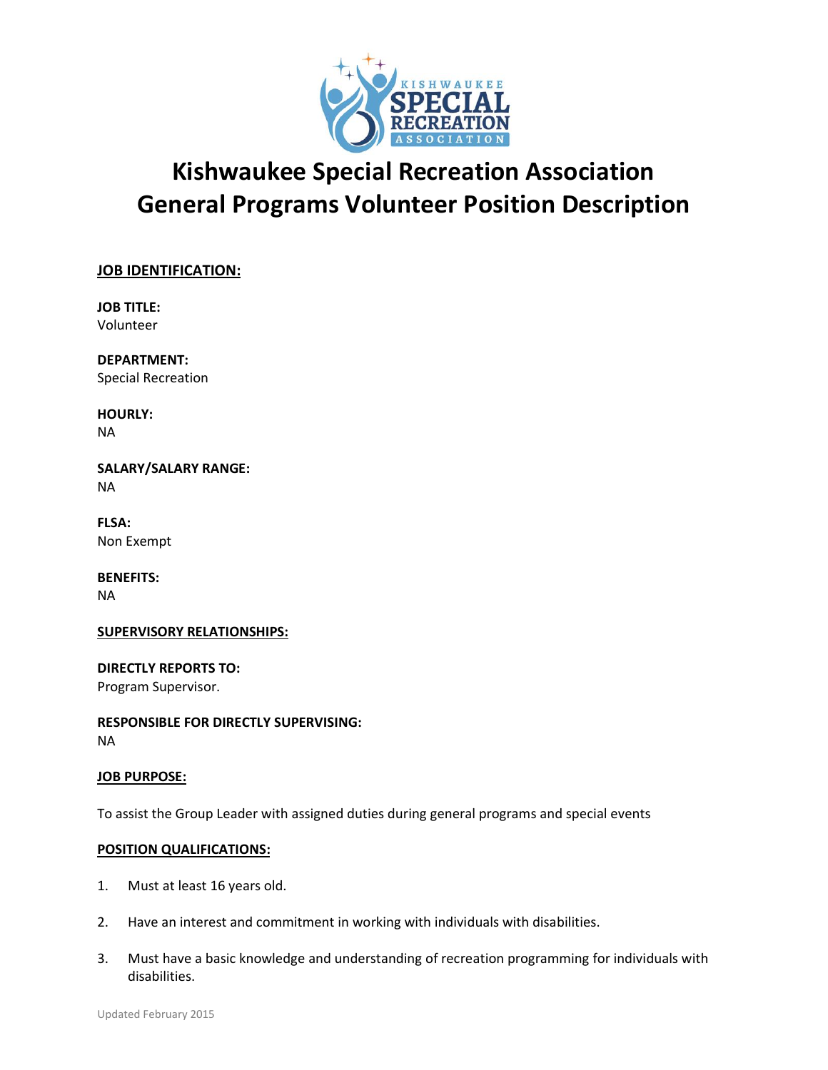

# **Kishwaukee Special Recreation Association General Programs Volunteer Position Description**

# **JOB IDENTIFICATION:**

**JOB TITLE:** Volunteer

**DEPARTMENT:** Special Recreation

**HOURLY:** NA

**SALARY/SALARY RANGE:** NA

**FLSA:** Non Exempt

**BENEFITS:** NA

## **SUPERVISORY RELATIONSHIPS:**

**DIRECTLY REPORTS TO:** Program Supervisor.

**RESPONSIBLE FOR DIRECTLY SUPERVISING:** NA

## **JOB PURPOSE:**

To assist the Group Leader with assigned duties during general programs and special events

## **POSITION QUALIFICATIONS:**

- 1. Must at least 16 years old.
- 2. Have an interest and commitment in working with individuals with disabilities.
- 3. Must have a basic knowledge and understanding of recreation programming for individuals with disabilities.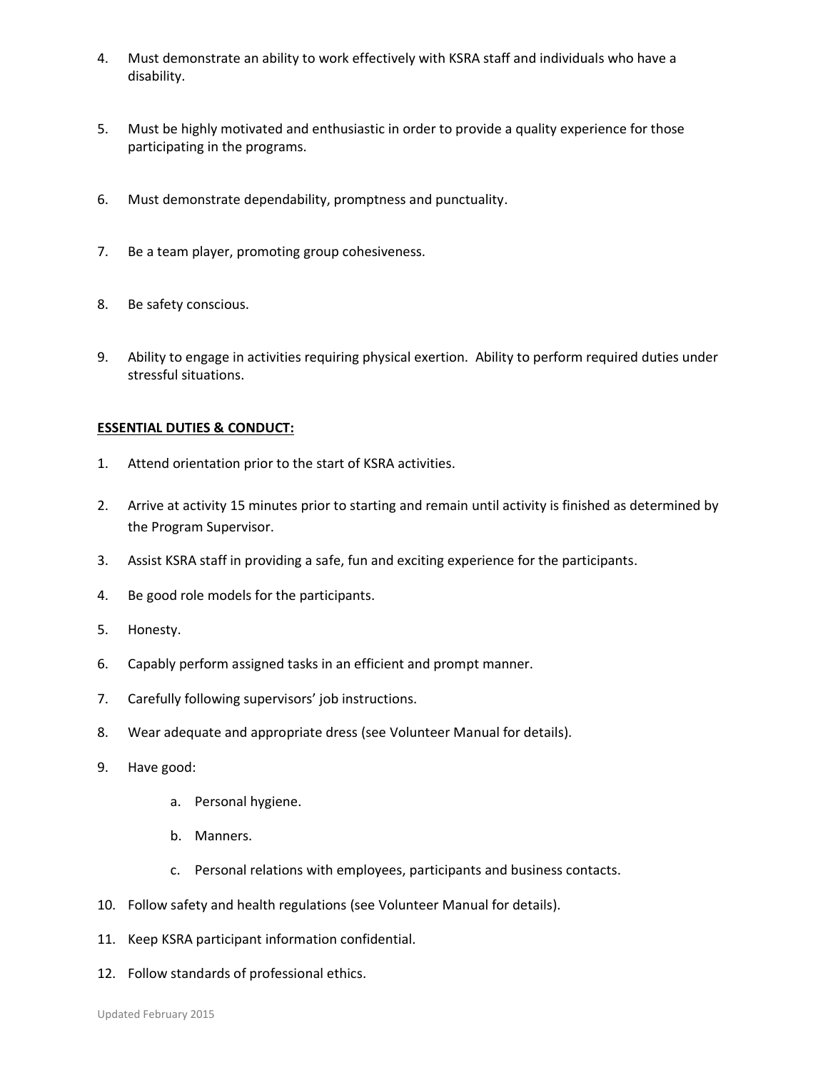- 4. Must demonstrate an ability to work effectively with KSRA staff and individuals who have a disability.
- 5. Must be highly motivated and enthusiastic in order to provide a quality experience for those participating in the programs.
- 6. Must demonstrate dependability, promptness and punctuality.
- 7. Be a team player, promoting group cohesiveness.
- 8. Be safety conscious.
- 9. Ability to engage in activities requiring physical exertion. Ability to perform required duties under stressful situations.

## **ESSENTIAL DUTIES & CONDUCT:**

- 1. Attend orientation prior to the start of KSRA activities.
- 2. Arrive at activity 15 minutes prior to starting and remain until activity is finished as determined by the Program Supervisor.
- 3. Assist KSRA staff in providing a safe, fun and exciting experience for the participants.
- 4. Be good role models for the participants.
- 5. Honesty.
- 6. Capably perform assigned tasks in an efficient and prompt manner.
- 7. Carefully following supervisors' job instructions.
- 8. Wear adequate and appropriate dress (see Volunteer Manual for details).
- 9. Have good:
	- a. Personal hygiene.
	- b. Manners.
	- c. Personal relations with employees, participants and business contacts.
- 10. Follow safety and health regulations (see Volunteer Manual for details).
- 11. Keep KSRA participant information confidential.
- 12. Follow standards of professional ethics.